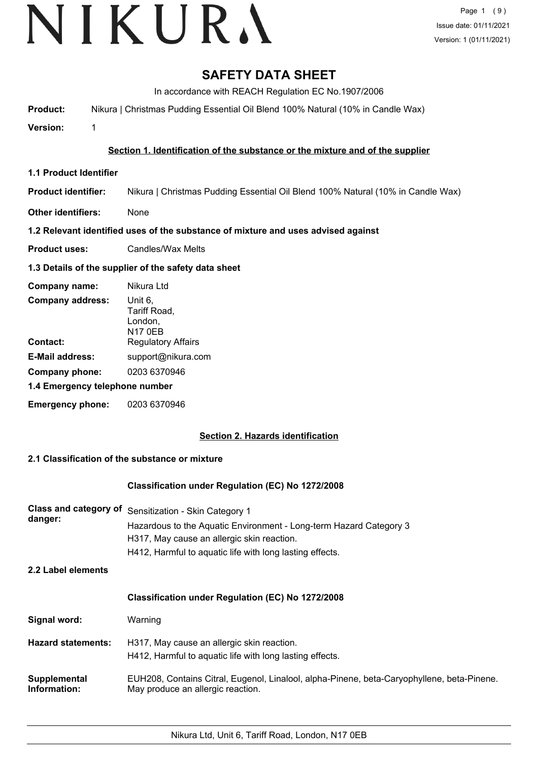# **SAFETY DATA SHEET**

In accordance with REACH Regulation EC No.1907/2006

**Product:** Nikura | Christmas Pudding Essential Oil Blend 100% Natural (10% in Candle Wax)

**Version:** 1

## **Section 1. Identification of the substance or the mixture and of the supplier**

**1.1 Product Identifier**

**Product identifier:** Nikura | Christmas Pudding Essential Oil Blend 100% Natural (10% in Candle Wax)

**Other identifiers:** None

## **1.2 Relevant identified uses of the substance of mixture and uses advised against**

**Product uses:** Candles/Wax Melts

### **1.3 Details of the supplier of the safety data sheet**

| Company name:                  | Nikura Ltd                                           |
|--------------------------------|------------------------------------------------------|
| <b>Company address:</b>        | Unit 6,<br>Tariff Road,<br>London,<br><b>N17 0EB</b> |
| Contact:                       | <b>Regulatory Affairs</b>                            |
| <b>E-Mail address:</b>         | support@nikura.com                                   |
| Company phone:                 | 0203 6370946                                         |
| 1.4 Emergency telephone number |                                                      |
| <b>Emergency phone:</b>        | 0203 6370946                                         |

## **Section 2. Hazards identification**

## **2.1 Classification of the substance or mixture**

#### **Classification under Regulation (EC) No 1272/2008**

| <b>Class and category of</b><br>danger: | Sensitization - Skin Category 1<br>Hazardous to the Aquatic Environment - Long-term Hazard Category 3<br>H317, May cause an allergic skin reaction.<br>H412, Harmful to aquatic life with long lasting effects. |
|-----------------------------------------|-----------------------------------------------------------------------------------------------------------------------------------------------------------------------------------------------------------------|
| 2.2 Label elements                      |                                                                                                                                                                                                                 |
|                                         | <b>Classification under Regulation (EC) No 1272/2008</b>                                                                                                                                                        |
| Signal word:                            | Warning                                                                                                                                                                                                         |
| <b>Hazard statements:</b>               | H317, May cause an allergic skin reaction.<br>H412, Harmful to aquatic life with long lasting effects.                                                                                                          |
| Supplemental<br>Information:            | EUH208, Contains Citral, Eugenol, Linalool, alpha-Pinene, beta-Caryophyllene, beta-Pinene.<br>May produce an allergic reaction.                                                                                 |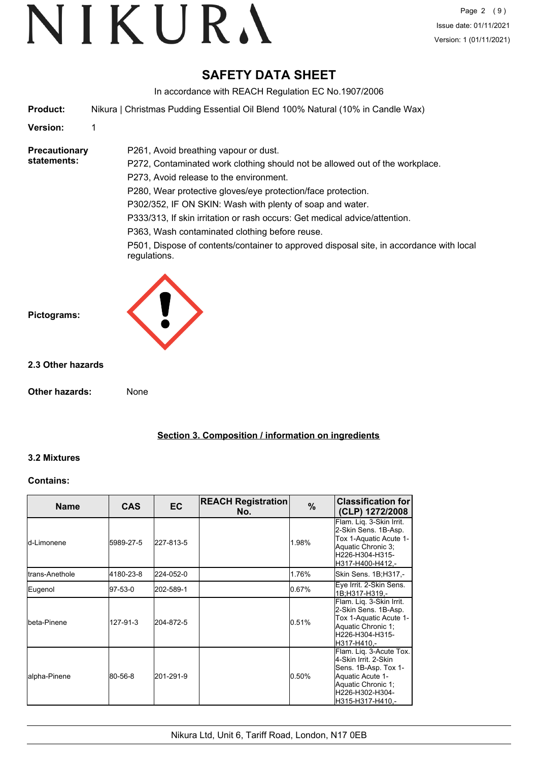# **SAFETY DATA SHEET**

In accordance with REACH Regulation EC No.1907/2006

**Product:** Nikura | Christmas Pudding Essential Oil Blend 100% Natural (10% in Candle Wax)

P261, Avoid breathing vapour or dust.

### **Version:** 1

#### **Precautionary statements:**

P272, Contaminated work clothing should not be allowed out of the workplace. P273, Avoid release to the environment. P280, Wear protective gloves/eye protection/face protection. P302/352, IF ON SKIN: Wash with plenty of soap and water. P333/313, If skin irritation or rash occurs: Get medical advice/attention. P363, Wash contaminated clothing before reuse.

P501, Dispose of contents/container to approved disposal site, in accordance with local regulations.



### **2.3 Other hazards**

**Other hazards:** None

**Section 3. Composition / information on ingredients**

## **3.2 Mixtures**

#### **Contains:**

| <b>Name</b>         | <b>CAS</b> | EC.       | <b>REACH Registration</b><br>No. | %     | <b>Classification for</b><br>(CLP) 1272/2008                                                                                                             |
|---------------------|------------|-----------|----------------------------------|-------|----------------------------------------------------------------------------------------------------------------------------------------------------------|
| <b>I</b> d-Limonene | 5989-27-5  | 227-813-5 |                                  | 1.98% | Flam. Liq. 3-Skin Irrit.<br>2-Skin Sens. 1B-Asp.<br>Tox 1-Aquatic Acute 1-<br>Aquatic Chronic 3;<br>H226-H304-H315-<br>H317-H400-H412.-                  |
| Itrans-Anethole     | 4180-23-8  | 224-052-0 |                                  | 1.76% | Skin Sens. 1B;H317,-                                                                                                                                     |
| Eugenol             | 97-53-0    | 202-589-1 |                                  | 0.67% | Eye Irrit. 2-Skin Sens.<br>1B:H317-H319.-                                                                                                                |
| Ibeta-Pinene        | 127-91-3   | 204-872-5 |                                  | 0.51% | Flam. Liq. 3-Skin Irrit.<br>2-Skin Sens. 1B-Asp.<br>Tox 1-Aquatic Acute 1-<br>Aquatic Chronic 1;<br>H226-H304-H315-<br>lH317-H410.-                      |
| alpha-Pinene        | 80-56-8    | 201-291-9 |                                  | 0.50% | Flam. Lig. 3-Acute Tox.<br>4-Skin Irrit, 2-Skin<br>Sens. 1B-Asp. Tox 1-<br>Aquatic Acute 1-<br>Aquatic Chronic 1;<br>H226-H302-H304-<br>H315-H317-H410.- |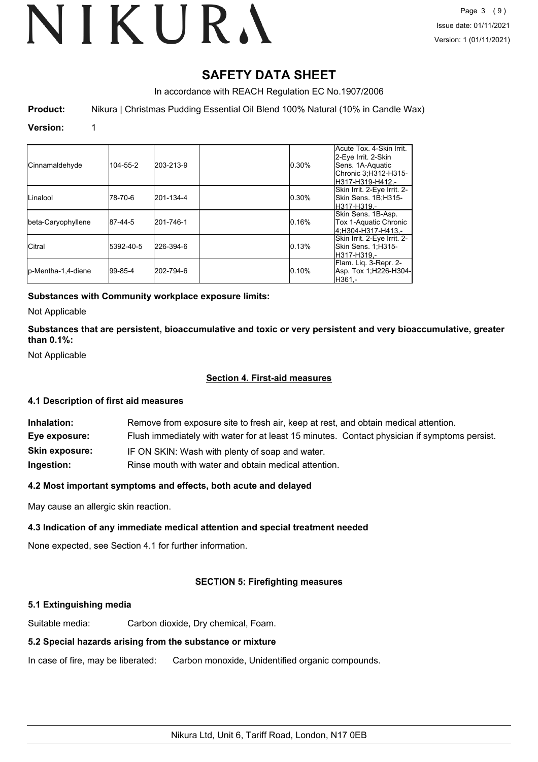# VIKURA

# **SAFETY DATA SHEET**

In accordance with REACH Regulation EC No.1907/2006

**Product:** Nikura | Christmas Pudding Essential Oil Blend 100% Natural (10% in Candle Wax)

#### **Version:** 1

| Cinnamaldehyde      | 104-55-2    | 203-213-9 | 0.30% | Acute Tox. 4-Skin Irrit.<br>2-Eye Irrit. 2-Skin<br>Sens. 1A-Aquatic<br>Chronic 3;H312-H315-<br>H317-H319-H412.- |
|---------------------|-------------|-----------|-------|-----------------------------------------------------------------------------------------------------------------|
| Linalool            | 178-70-6    | 201-134-4 | 0.30% | Skin Irrit. 2-Eye Irrit. 2-<br>Skin Sens. 1B;H315-<br>lH317-H319.-                                              |
| beta-Caryophyllene  | 87-44-5     | 201-746-1 | 0.16% | Skin Sens. 1B-Asp.<br>Tox 1-Aquatic Chronic<br>4:H304-H317-H413.-                                               |
| <b>Citral</b>       | 5392-40-5   | 226-394-6 | 0.13% | Skin Irrit. 2-Eye Irrit. 2-<br>Skin Sens. 1,H315-<br>lH317-H319.-                                               |
| lp-Mentha-1,4-diene | $ 99-85-4 $ | 202-794-6 | 0.10% | Flam. Lig. 3-Repr. 2-<br>Asp. Tox 1; H226-H304-<br>IH361.-                                                      |

#### **Substances with Community workplace exposure limits:**

Not Applicable

**Substances that are persistent, bioaccumulative and toxic or very persistent and very bioaccumulative, greater than 0.1%:**

Not Applicable

#### **Section 4. First-aid measures**

#### **4.1 Description of first aid measures**

| Inhalation:           | Remove from exposure site to fresh air, keep at rest, and obtain medical attention.          |
|-----------------------|----------------------------------------------------------------------------------------------|
| Eye exposure:         | Flush immediately with water for at least 15 minutes. Contact physician if symptoms persist. |
| <b>Skin exposure:</b> | IF ON SKIN: Wash with plenty of soap and water.                                              |
| Ingestion:            | Rinse mouth with water and obtain medical attention.                                         |

#### **4.2 Most important symptoms and effects, both acute and delayed**

May cause an allergic skin reaction.

#### **4.3 Indication of any immediate medical attention and special treatment needed**

None expected, see Section 4.1 for further information.

## **SECTION 5: Firefighting measures**

#### **5.1 Extinguishing media**

Suitable media: Carbon dioxide, Dry chemical, Foam.

## **5.2 Special hazards arising from the substance or mixture**

In case of fire, may be liberated: Carbon monoxide, Unidentified organic compounds.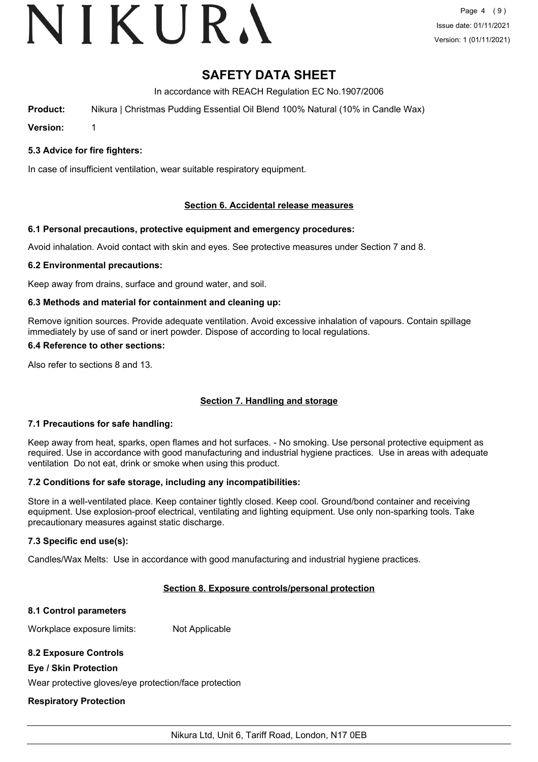# VIKURA

# **SAFETY DATA SHEET**

In accordance with REACH Regulation EC No.1907/2006

**Product:** Nikura | Christmas Pudding Essential Oil Blend 100% Natural (10% in Candle Wax)

**Version:** 1

#### **5.3 Advice for fire fighters:**

In case of insufficient ventilation, wear suitable respiratory equipment.

#### **Section 6. Accidental release measures**

#### **6.1 Personal precautions, protective equipment and emergency procedures:**

Avoid inhalation. Avoid contact with skin and eyes. See protective measures under Section 7 and 8.

#### **6.2 Environmental precautions:**

Keep away from drains, surface and ground water, and soil.

#### **6.3 Methods and material for containment and cleaning up:**

Remove ignition sources. Provide adequate ventilation. Avoid excessive inhalation of vapours. Contain spillage immediately by use of sand or inert powder. Dispose of according to local regulations.

#### **6.4 Reference to other sections:**

Also refer to sections 8 and 13.

#### **Section 7. Handling and storage**

#### **7.1 Precautions for safe handling:**

Keep away from heat, sparks, open flames and hot surfaces. - No smoking. Use personal protective equipment as required. Use in accordance with good manufacturing and industrial hygiene practices. Use in areas with adequate ventilation Do not eat, drink or smoke when using this product.

#### **7.2 Conditions for safe storage, including any incompatibilities:**

Store in a well-ventilated place. Keep container tightly closed. Keep cool. Ground/bond container and receiving equipment. Use explosion-proof electrical, ventilating and lighting equipment. Use only non-sparking tools. Take precautionary measures against static discharge.

#### **7.3 Specific end use(s):**

Candles/Wax Melts: Use in accordance with good manufacturing and industrial hygiene practices.

#### **Section 8. Exposure controls/personal protection**

#### **8.1 Control parameters**

Workplace exposure limits: Not Applicable

#### **8.2 Exposure Controls**

#### **Eye / Skin Protection**

Wear protective gloves/eye protection/face protection

#### **Respiratory Protection**

Nikura Ltd, Unit 6, Tariff Road, London, N17 0EB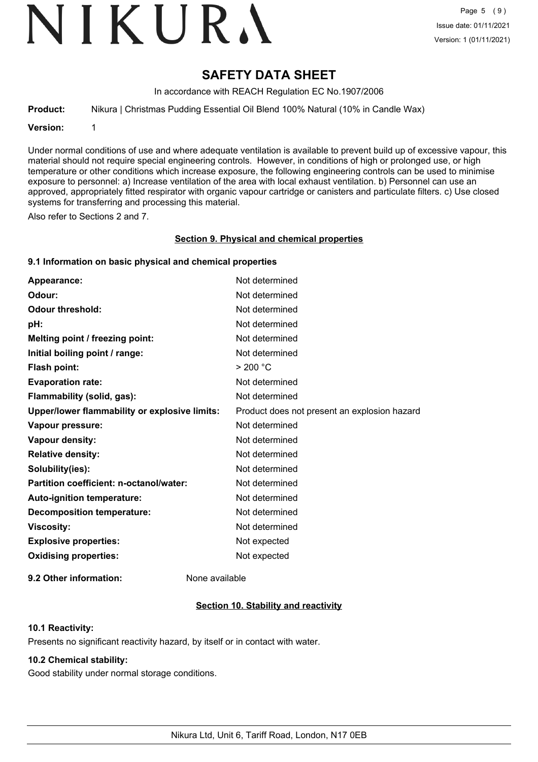# VIKURA

# **SAFETY DATA SHEET**

In accordance with REACH Regulation EC No.1907/2006

**Product:** Nikura | Christmas Pudding Essential Oil Blend 100% Natural (10% in Candle Wax)

**Version:** 1

Under normal conditions of use and where adequate ventilation is available to prevent build up of excessive vapour, this material should not require special engineering controls. However, in conditions of high or prolonged use, or high temperature or other conditions which increase exposure, the following engineering controls can be used to minimise exposure to personnel: a) Increase ventilation of the area with local exhaust ventilation. b) Personnel can use an approved, appropriately fitted respirator with organic vapour cartridge or canisters and particulate filters. c) Use closed systems for transferring and processing this material.

Also refer to Sections 2 and 7.

#### **Section 9. Physical and chemical properties**

#### **9.1 Information on basic physical and chemical properties**

| Appearance:                                   | Not determined                               |
|-----------------------------------------------|----------------------------------------------|
| Odour:                                        | Not determined                               |
| <b>Odour threshold:</b>                       | Not determined                               |
| pH:                                           | Not determined                               |
| Melting point / freezing point:               | Not determined                               |
| Initial boiling point / range:                | Not determined                               |
| <b>Flash point:</b>                           | > 200 °C                                     |
| <b>Evaporation rate:</b>                      | Not determined                               |
| Flammability (solid, gas):                    | Not determined                               |
| Upper/lower flammability or explosive limits: | Product does not present an explosion hazard |
| Vapour pressure:                              | Not determined                               |
| Vapour density:                               | Not determined                               |
| <b>Relative density:</b>                      | Not determined                               |
| Solubility(ies):                              | Not determined                               |
| Partition coefficient: n-octanol/water:       | Not determined                               |
| Auto-ignition temperature:                    | Not determined                               |
| <b>Decomposition temperature:</b>             | Not determined                               |
| <b>Viscosity:</b>                             | Not determined                               |
| <b>Explosive properties:</b>                  | Not expected                                 |
| <b>Oxidising properties:</b>                  | Not expected                                 |
|                                               |                                              |

**9.2 Other information:** None available

## **Section 10. Stability and reactivity**

#### **10.1 Reactivity:**

Presents no significant reactivity hazard, by itself or in contact with water.

#### **10.2 Chemical stability:**

Good stability under normal storage conditions.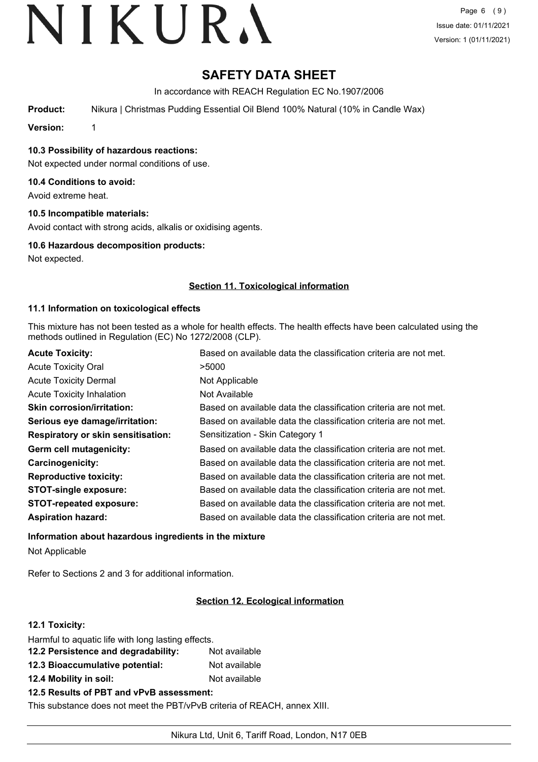# **SAFETY DATA SHEET**

In accordance with REACH Regulation EC No.1907/2006

**Product:** Nikura | Christmas Pudding Essential Oil Blend 100% Natural (10% in Candle Wax)

**Version:** 1

**10.3 Possibility of hazardous reactions:**

Not expected under normal conditions of use.

#### **10.4 Conditions to avoid:**

Avoid extreme heat.

### **10.5 Incompatible materials:**

Avoid contact with strong acids, alkalis or oxidising agents.

#### **10.6 Hazardous decomposition products:**

Not expected.

### **Section 11. Toxicological information**

#### **11.1 Information on toxicological effects**

This mixture has not been tested as a whole for health effects. The health effects have been calculated using the methods outlined in Regulation (EC) No 1272/2008 (CLP).

| <b>Acute Toxicity:</b>                    | Based on available data the classification criteria are not met. |
|-------------------------------------------|------------------------------------------------------------------|
| <b>Acute Toxicity Oral</b>                | >5000                                                            |
| <b>Acute Toxicity Dermal</b>              | Not Applicable                                                   |
| <b>Acute Toxicity Inhalation</b>          | Not Available                                                    |
| <b>Skin corrosion/irritation:</b>         | Based on available data the classification criteria are not met. |
| Serious eye damage/irritation:            | Based on available data the classification criteria are not met. |
| <b>Respiratory or skin sensitisation:</b> | Sensitization - Skin Category 1                                  |
| Germ cell mutagenicity:                   | Based on available data the classification criteria are not met. |
| Carcinogenicity:                          | Based on available data the classification criteria are not met. |
| <b>Reproductive toxicity:</b>             | Based on available data the classification criteria are not met. |
| <b>STOT-single exposure:</b>              | Based on available data the classification criteria are not met. |
| <b>STOT-repeated exposure:</b>            | Based on available data the classification criteria are not met. |
| <b>Aspiration hazard:</b>                 | Based on available data the classification criteria are not met. |

## **Information about hazardous ingredients in the mixture** Not Applicable

Refer to Sections 2 and 3 for additional information.

## **Section 12. Ecological information**

#### **12.1 Toxicity:**

| Harmful to aquatic life with long lasting effects. |               |
|----------------------------------------------------|---------------|
| 12.2 Persistence and degradability:                | Not available |
| 12.3 Bioaccumulative potential:                    | Not available |
| 12.4 Mobility in soil:                             | Not available |
| 12.5 Results of PBT and vPvB assessment:           |               |

This substance does not meet the PBT/vPvB criteria of REACH, annex XIII.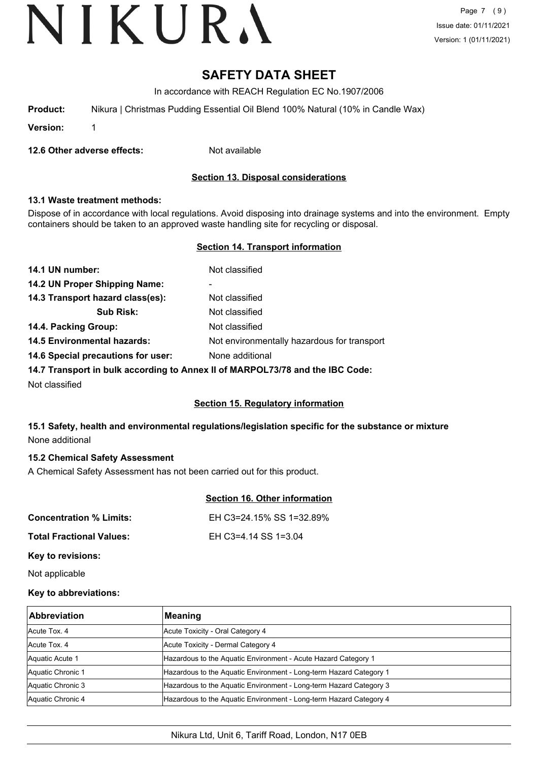# **SAFETY DATA SHEET**

In accordance with REACH Regulation EC No.1907/2006

| Nikura   Christmas Pudding Essential Oil Blend 100% Natural (10% in Candle Wax)<br><b>Product:</b> |  |
|----------------------------------------------------------------------------------------------------|--|
|----------------------------------------------------------------------------------------------------|--|

**Version:** 1

**12.6 Other adverse effects:** Not available

## **Section 13. Disposal considerations**

#### **13.1 Waste treatment methods:**

Dispose of in accordance with local regulations. Avoid disposing into drainage systems and into the environment. Empty containers should be taken to an approved waste handling site for recycling or disposal.

#### **Section 14. Transport information**

| 14.1 UN number:                    | Not classified                              |
|------------------------------------|---------------------------------------------|
| 14.2 UN Proper Shipping Name:      | -                                           |
| 14.3 Transport hazard class(es):   | Not classified                              |
| <b>Sub Risk:</b>                   | Not classified                              |
| 14.4. Packing Group:               | Not classified                              |
| <b>14.5 Environmental hazards:</b> | Not environmentally hazardous for transport |
| 14.6 Special precautions for user: | None additional                             |
|                                    |                                             |

**14.7 Transport in bulk according to Annex II of MARPOL73/78 and the IBC Code:**

Not classified

#### **Section 15. Regulatory information**

## **15.1 Safety, health and environmental regulations/legislation specific for the substance or mixture** None additional

#### **15.2 Chemical Safety Assessment**

A Chemical Safety Assessment has not been carried out for this product.

#### **Section 16. Other information**

| <b>Concentration % Limits:</b>  | EH C3=24.15% SS 1=32.89% |
|---------------------------------|--------------------------|
| <b>Total Fractional Values:</b> | EH C3=4.14 SS 1=3.04     |

**Key to revisions:**

Not applicable

#### **Key to abbreviations:**

| <b>Abbreviation</b> | Meaning                                                            |
|---------------------|--------------------------------------------------------------------|
| Acute Tox, 4        | Acute Toxicity - Oral Category 4                                   |
| Acute Tox, 4        | Acute Toxicity - Dermal Category 4                                 |
| Aquatic Acute 1     | Hazardous to the Aquatic Environment - Acute Hazard Category 1     |
| Aquatic Chronic 1   | Hazardous to the Aquatic Environment - Long-term Hazard Category 1 |
| Aquatic Chronic 3   | Hazardous to the Aquatic Environment - Long-term Hazard Category 3 |
| Aquatic Chronic 4   | Hazardous to the Aquatic Environment - Long-term Hazard Category 4 |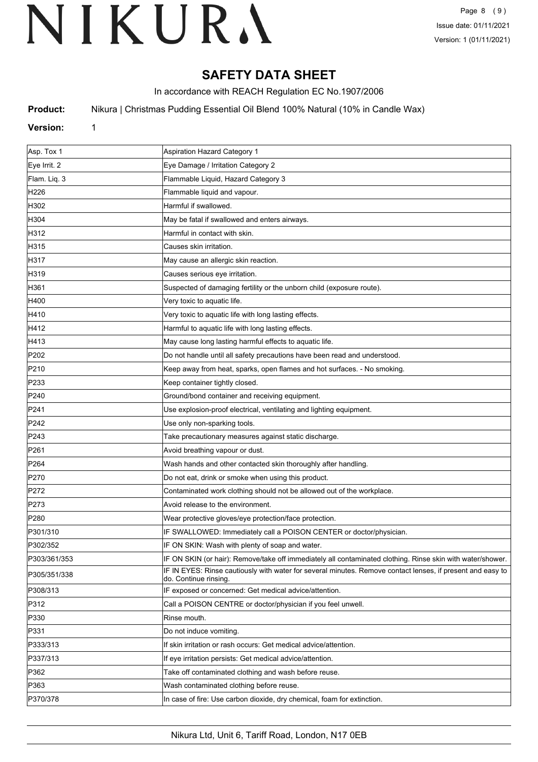# **SAFETY DATA SHEET**

In accordance with REACH Regulation EC No.1907/2006

**Product:** Nikura | Christmas Pudding Essential Oil Blend 100% Natural (10% in Candle Wax)

### **Version:** 1

| Asp. Tox 1       | Aspiration Hazard Category 1                                                                                                       |
|------------------|------------------------------------------------------------------------------------------------------------------------------------|
| Eye Irrit. 2     | Eye Damage / Irritation Category 2                                                                                                 |
| Flam. Liq. 3     | Flammable Liquid, Hazard Category 3                                                                                                |
| H226             | Flammable liquid and vapour.                                                                                                       |
| H302             | Harmful if swallowed.                                                                                                              |
| H304             | May be fatal if swallowed and enters airways.                                                                                      |
| H312             | Harmful in contact with skin.                                                                                                      |
| H315             | Causes skin irritation.                                                                                                            |
| H317             | May cause an allergic skin reaction.                                                                                               |
| H319             | Causes serious eye irritation.                                                                                                     |
| H361             | Suspected of damaging fertility or the unborn child (exposure route).                                                              |
| H400             | Very toxic to aquatic life.                                                                                                        |
| H410             | Very toxic to aquatic life with long lasting effects.                                                                              |
| H412             | Harmful to aquatic life with long lasting effects.                                                                                 |
| H413             | May cause long lasting harmful effects to aquatic life.                                                                            |
| P <sub>202</sub> | Do not handle until all safety precautions have been read and understood.                                                          |
| P210             | Keep away from heat, sparks, open flames and hot surfaces. - No smoking.                                                           |
| P233             | Keep container tightly closed.                                                                                                     |
| P240             | Ground/bond container and receiving equipment.                                                                                     |
| P241             | Use explosion-proof electrical, ventilating and lighting equipment.                                                                |
| P242             | Use only non-sparking tools.                                                                                                       |
| P243             | Take precautionary measures against static discharge.                                                                              |
| P261             | Avoid breathing vapour or dust.                                                                                                    |
| P <sub>264</sub> | Wash hands and other contacted skin thoroughly after handling.                                                                     |
| P270             | Do not eat, drink or smoke when using this product.                                                                                |
| P272             | Contaminated work clothing should not be allowed out of the workplace.                                                             |
| P273             | Avoid release to the environment.                                                                                                  |
| P280             | Wear protective gloves/eye protection/face protection.                                                                             |
| P301/310         | IF SWALLOWED: Immediately call a POISON CENTER or doctor/physician.                                                                |
| P302/352         | IF ON SKIN: Wash with plenty of soap and water.                                                                                    |
| P303/361/353     | IF ON SKIN (or hair): Remove/take off immediately all contaminated clothing. Rinse skin with water/shower.                         |
| P305/351/338     | IF IN EYES: Rinse cautiously with water for several minutes. Remove contact lenses, if present and easy to<br>do. Continue rinsing |
| P308/313         | IF exposed or concerned: Get medical advice/attention.                                                                             |
| P312             | Call a POISON CENTRE or doctor/physician if you feel unwell.                                                                       |
| P330             | Rinse mouth.                                                                                                                       |
| P331             | Do not induce vomiting.                                                                                                            |
| P333/313         | If skin irritation or rash occurs: Get medical advice/attention.                                                                   |
| P337/313         | If eye irritation persists: Get medical advice/attention.                                                                          |
| P362             | Take off contaminated clothing and wash before reuse.                                                                              |
| P363             | Wash contaminated clothing before reuse.                                                                                           |
| P370/378         | In case of fire: Use carbon dioxide, dry chemical, foam for extinction.                                                            |